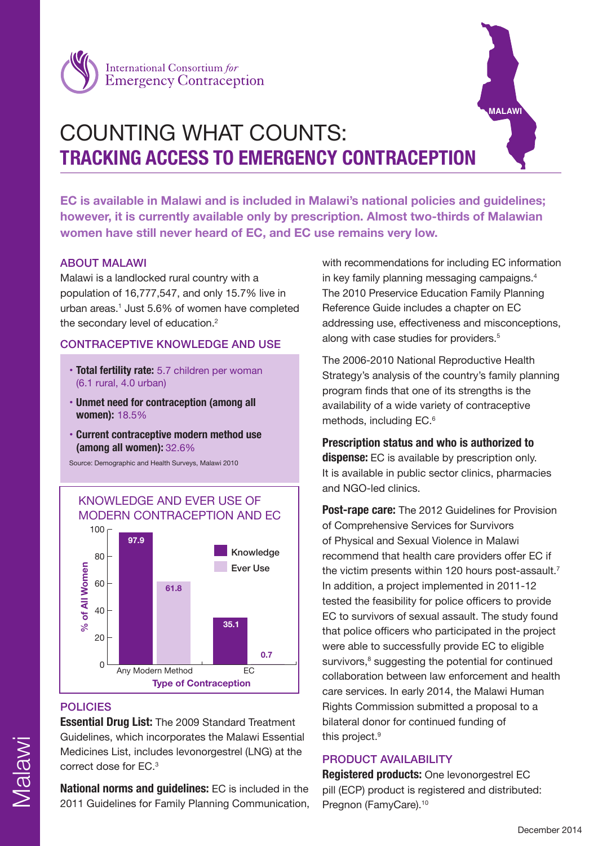



# COUNTING WHAT COUNTS: **TRACKING ACCESS TO EMERGENCY CONTRACEPTION**

**EC is available in Malawi and is included in Malawi's national policies and guidelines; however, it is currently available only by prescription. Almost two-thirds of Malawian women have still never heard of EC, and EC use remains very low.** 

## ABOUT MALAWI

Malawi is a landlocked rural country with a population of 16,777,547, and only 15.7% live in urban areas.1 Just 5.6% of women have completed the secondary level of education.<sup>2</sup>

#### CONTRACEPTIVE KNOWLEDGE AND USE

- **Total fertility rate:** 5.7 children per woman (6.1 rural, 4.0 urban)
- **Unmet need for contraception (among all women):** 18.5%
- **Current contraceptive modern method use (among all women):** 32.6%

Source: Demographic and Health Surveys, Malawi 2010



## POLICIES

**Essential Drug List:** The 2009 Standard Treatment Guidelines, which incorporates the Malawi Essential Medicines List, includes levonorgestrel (LNG) at the correct dose for EC.3

**National norms and guidelines:** EC is included in the 2011 Guidelines for Family Planning Communication, with recommendations for including EC information in key family planning messaging campaigns.<sup>4</sup> The 2010 Preservice Education Family Planning Reference Guide includes a chapter on EC addressing use, effectiveness and misconceptions, along with case studies for providers.<sup>5</sup>

The 2006-2010 National Reproductive Health Strategy's analysis of the country's family planning program finds that one of its strengths is the availability of a wide variety of contraceptive methods, including EC.<sup>6</sup>

**Prescription status and who is authorized to dispense:** EC is available by prescription only. It is available in public sector clinics, pharmacies and NGO-led clinics.

**Post-rape care:** The 2012 Guidelines for Provision of Comprehensive Services for Survivors of Physical and Sexual Violence in Malawi recommend that health care providers offer EC if the victim presents within 120 hours post-assault.<sup>7</sup> In addition, a project implemented in 2011-12 tested the feasibility for police officers to provide EC to survivors of sexual assault. The study found that police officers who participated in the project were able to successfully provide EC to eligible survivors,<sup>8</sup> suggesting the potential for continued collaboration between law enforcement and health care services. In early 2014, the Malawi Human Rights Commission submitted a proposal to a bilateral donor for continued funding of this project.<sup>9</sup>

## PRODUCT AVAILABILITY

**Registered products:** One levonorgestrel EC pill (ECP) product is registered and distributed: Pregnon (FamyCare). 10